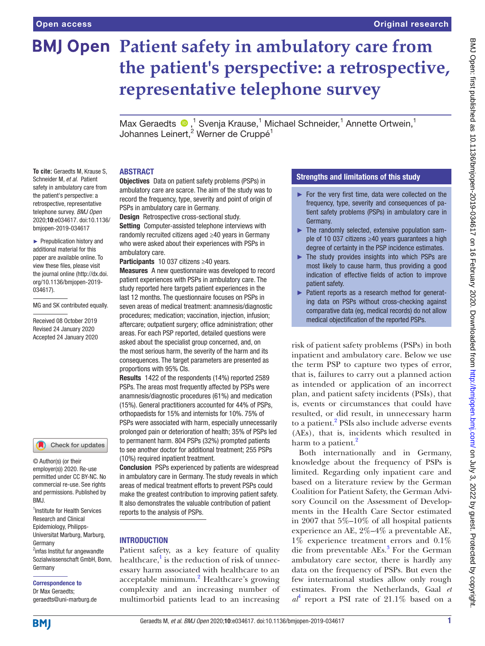**To cite:** Geraedts M, Krause S, Schneider M, *et al*. Patient safety in ambulatory care from the patient's perspective: a retrospective, representative telephone survey. *BMJ Open* 2020;10:e034617. doi:10.1136/ bmjopen-2019-034617 ► Prepublication history and additional material for this paper are available online. To view these files, please visit the journal online (http://dx.doi. org/10.1136/bmjopen-2019-

MG and SK contributed equally. Received 08 October 2019 Revised 24 January 2020 Accepted 24 January 2020

1 Institute for Health Services Research and Clinical Epidemiology, Philipps-Universitat Marburg, Marburg,

Check for updates

© Author(s) (or their employer(s)) 2020. Re-use permitted under CC BY-NC. No commercial re-use. See rights and permissions. Published by

<sup>2</sup>infas Institut fur angewandte Sozialwissenschaft GmbH, Bonn,

034617).

# **BMJ Open Patient safety in ambulatory care from the patient's perspective: a retrospective, representative telephone survey**

MaxGeraedts  $\bigcirc$ ,<sup>1</sup> Svenja Krause,<sup>1</sup> Michael Schneider,<sup>1</sup> Annette Ortwein,<sup>1</sup> Johannes Leinert,<sup>2</sup> Werner de Cruppé<sup>1</sup>

### **ABSTRACT**

Objectives Data on patient safety problems (PSPs) in ambulatory care are scarce. The aim of the study was to record the frequency, type, severity and point of origin of PSPs in ambulatory care in Germany.

Design Retrospective cross-sectional study.

Setting Computer-assisted telephone interviews with randomly recruited citizens aged ≥40 years in Germany who were asked about their experiences with PSPs in ambulatory care.

Participants 10 037 citizens ≥40 years.

Measures A new questionnaire was developed to record patient experiences with PSPs in ambulatory care. The study reported here targets patient experiences in the last 12 months. The questionnaire focuses on PSPs in seven areas of medical treatment: anamnesis/diagnostic procedures; medication; vaccination, injection, infusion; aftercare; outpatient surgery; office administration; other areas. For each PSP reported, detailed questions were asked about the specialist group concerned, and, on the most serious harm, the severity of the harm and its consequences. The target parameters are presented as proportions with 95% CIs.

Results 1422 of the respondents (14%) reported 2589 PSPs. The areas most frequently affected by PSPs were anamnesis/diagnostic procedures (61%) and medication (15%). General practitioners accounted for 44% of PSPs, orthopaedists for 15% and internists for 10%. 75% of PSPs were associated with harm, especially unnecessarily prolonged pain or deterioration of health; 35% of PSPs led to permanent harm. 804 PSPs (32%) prompted patients to see another doctor for additional treatment; 255 PSPs (10%) required inpatient treatment.

Conclusion PSPs experienced by patients are widespread in ambulatory care in Germany. The study reveals in which areas of medical treatment efforts to prevent PSPs could make the greatest contribution to improving patient safety. It also demonstrates the valuable contribution of patient reports to the analysis of PSPs.

### **INTRODUCTION**

Patient safety, as a key feature of quality healthcare,<sup>[1](#page-7-0)</sup> is the reduction of risk of unnecessary harm associated with healthcare to an acceptable minimum.<sup>[2](#page-7-1)</sup> Healthcare's growing complexity and an increasing number of multimorbid patients lead to an increasing

### Strengths and limitations of this study

- ► For the very first time, data were collected on the frequency, type, severity and consequences of patient safety problems (PSPs) in ambulatory care in Germany.
- ► The randomly selected, extensive population sample of 10 037 citizens ≥40 years guarantees a high degree of certainty in the PSP incidence estimates.
- ► The study provides insights into which PSPs are most likely to cause harm, thus providing a good indication of effective fields of action to improve patient safety.
- ► Patient reports as a research method for generating data on PSPs without cross-checking against comparative data (eg, medical records) do not allow medical objectification of the reported PSPs.

risk of patient safety problems (PSPs) in both inpatient and ambulatory care. Below we use the term PSP to capture two types of error, that is, failures to carry out a planned action as intended or application of an incorrect plan, and patient safety incidents (PSIs), that is, events or circumstances that could have resulted, or did result, in unnecessary harm to a patient.<sup>[2](#page-7-1)</sup> PSIs also include adverse events (AEs), that is, incidents which resulted in harm to a patient.<sup>[2](#page-7-1)</sup>

Both internationally and in Germany, knowledge about the frequency of PSPs is limited. Regarding only inpatient care and based on a literature review by the German Coalition for Patient Safety, the German Advisory Council on the Assessment of Developments in the Health Care Sector estimated in 2007 that 5%–10% of all hospital patients experience an AE, 2%–4% a preventable AE, 1% experience treatment errors and 0.1% die from preventable AEs.<sup>[3](#page-7-2)</sup> For the German ambulatory care sector, there is hardly any data on the frequency of PSPs. But even the few international studies allow only rough estimates. From the Netherlands, Gaal *et*   $a<sup>4</sup>$  $a<sup>4</sup>$  $a<sup>4</sup>$  report a PSI rate of 21.1% based on a

**BMI** 

Germany

BMJ.

Germany

Correspondence to Dr Max Geraedts; geraedts@uni-marburg.de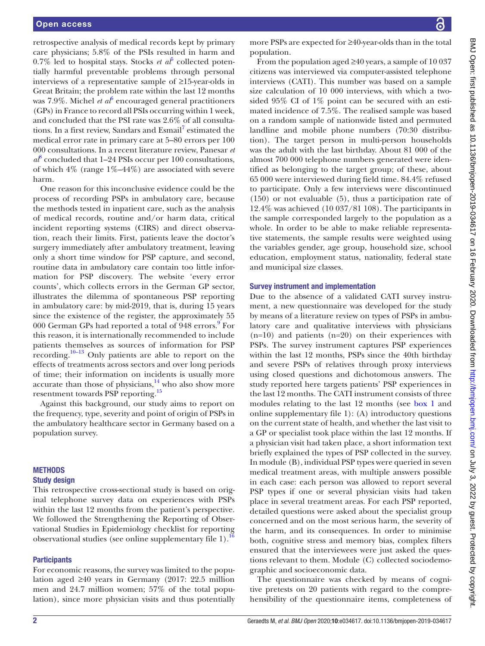retrospective analysis of medical records kept by primary care physicians; 5.8% of the PSIs resulted in harm and  $0.7\%$  led to hospital stays. Stocks *et al*<sup>[5](#page-7-4)</sup> collected potentially harmful preventable problems through personal interviews of a representative sample of ≥15-year-olds in Great Britain; the problem rate within the last 12 months was 7.9%. Michel *et al*<sup>[6](#page-7-5)</sup> encouraged general practitioners (GPs) in France to record all PSIs occurring within 1 week, and concluded that the PSI rate was 2.6% of all consulta-tions. In a first review, Sandars and Esmail<sup>[7](#page-7-6)</sup> estimated the medical error rate in primary care at 5–80 errors per 100 000 consultations. In a recent literature review, Panesar *et*   $a^8$  $a^8$  concluded that 1–24 PSIs occur per 100 consultations, of which  $4\%$  (range  $1\% - 44\%$ ) are associated with severe harm.

One reason for this inconclusive evidence could be the process of recording PSPs in ambulatory care, because the methods tested in inpatient care, such as the analysis of medical records, routine and/or harm data, critical incident reporting systems (CIRS) and direct observation, reach their limits. First, patients leave the doctor's surgery immediately after ambulatory treatment, leaving only a short time window for PSP capture, and second, routine data in ambulatory care contain too little information for PSP discovery. The website 'every error counts', which collects errors in the German GP sector, illustrates the dilemma of spontaneous PSP reporting in ambulatory care: by mid-2019, that is, during 15 years since the existence of the register, the approximately 55 000 German GPs had reported a total of [9](#page-7-8)48 errors.<sup>9</sup> For this reason, it is internationally recommended to include patients themselves as sources of information for PSP recording[.10–13](#page-7-9) Only patients are able to report on the effects of treatments across sectors and over long periods of time; their information on incidents is usually more accurate than those of physicians, $14$  who also show more resentment towards PSP reporting[.15](#page-8-1)

Against this background, our study aims to report on the frequency, type, severity and point of origin of PSPs in the ambulatory healthcare sector in Germany based on a population survey.

### **METHODS**

### Study design

This retrospective cross-sectional study is based on original telephone survey data on experiences with PSPs within the last 12 months from the patient's perspective. We followed the Strengthening the Reporting of Observational Studies in Epidemiology checklist for reporting observational studies (see online supplementary file  $1$ ).<sup>1</sup>

### **Participants**

For economic reasons, the survey was limited to the population aged ≥40 years in Germany (2017: 22.5 million men and 24.7 million women; 57% of the total population), since more physician visits and thus potentially

more PSPs are expected for ≥40-year-olds than in the total population.

From the population aged  $\geq 40$  years, a sample of 10 037 citizens was interviewed via computer-assisted telephone interviews (CATI). This number was based on a sample size calculation of 10 000 interviews, with which a twosided 95% CI of 1% point can be secured with an estimated incidence of 7.5%. The realised sample was based on a random sample of nationwide listed and permuted landline and mobile phone numbers (70:30 distribution). The target person in multi-person households was the adult with the last birthday. About 81 000 of the almost 700 000 telephone numbers generated were identified as belonging to the target group; of these, about 65 000 were interviewed during field time. 84.4% refused to participate. Only a few interviews were discontinued (150) or not evaluable (5), thus a participation rate of 12.4% was achieved (10 037/81 108). The participants in the sample corresponded largely to the population as a whole. In order to be able to make reliable representative statements, the sample results were weighted using the variables gender, age group, household size, school education, employment status, nationality, federal state and municipal size classes.

### Survey instrument and implementation

Due to the absence of a validated CATI survey instrument, a new questionnaire was developed for the study by means of a literature review on types of PSPs in ambulatory care and qualitative interviews with physicians  $(n=10)$  and patients  $(n=20)$  on their experiences with PSPs. The survey instrument captures PSP experiences within the last 12 months, PSPs since the 40th birthday and severe PSPs of relatives through proxy interviews using closed questions and dichotomous answers. The study reported here targets patients' PSP experiences in the last 12 months. The CATI instrument consists of three modules relating to the last 12 months (see [box](#page-2-0) 1 and [online supplementary file 1\)](https://dx.doi.org/10.1136/bmjopen-2019-034617): (A) introductory questions on the current state of health, and whether the last visit to a GP or specialist took place within the last 12 months. If a physician visit had taken place, a short information text briefly explained the types of PSP collected in the survey. In module (B), individual PSP types were queried in seven medical treatment areas, with multiple answers possible in each case: each person was allowed to report several PSP types if one or several physician visits had taken place in several treatment areas. For each PSP reported, detailed questions were asked about the specialist group concerned and on the most serious harm, the severity of the harm, and its consequences. In order to minimise both, cognitive stress and memory bias, complex filters ensured that the interviewees were just asked the questions relevant to them. Module (C) collected sociodemographic and socioeconomic data.

The questionnaire was checked by means of cognitive pretests on 20 patients with regard to the comprehensibility of the questionnaire items, completeness of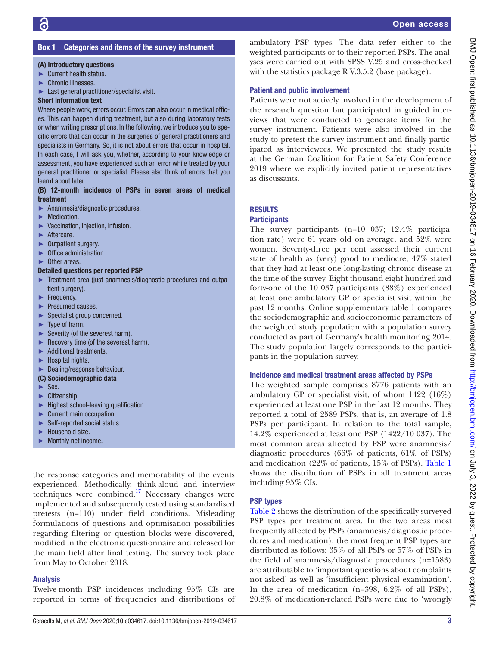# BMJ Open: first published as 10.1136/bmjopen-2019-034617 on 16 February 2020. Downloaded from http://bmjopen.bmj.com/ on July 3, 2022 by guest. Protected by copyright BMJ Open: first published as 10.1136/bmjopen-2019-034617 on 16 February 2020. Downloaded from <http://bmjopen.bmj.com/> on July 3, 2022 by guest. Protected by copyright.

### Box 1 Categories and items of the survey instrument

### <span id="page-2-0"></span>(A) Introductory questions

- ► Current health status.
- ► Chronic illnesses.
- ► Last general practitioner/specialist visit.

### Short information text

Where people work, errors occur. Errors can also occur in medical offices. This can happen during treatment, but also during laboratory tests or when writing prescriptions. In the following, we introduce you to specific errors that can occur in the surgeries of general practitioners and specialists in Germany. So, it is not about errors that occur in hospital. In each case, I will ask you, whether, according to your knowledge or assessment, you have experienced such an error while treated by your general practitioner or specialist. Please also think of errors that you learnt about later.

### (B) 12-month incidence of PSPs in seven areas of medical treatment

- ► Anamnesis/diagnostic procedures.
- ► Medication.
- ► Vaccination, injection, infusion.
- ► Aftercare.
- ► Outpatient surgery.
- ► Office administration.
- ► Other areas.

### Detailed questions per reported PSP

- ► Treatment area (just anamnesis/diagnostic procedures and outpatient surgery).
- ► Frequency.
- ► Presumed causes.
- ► Specialist group concerned.
- ► Type of harm.
- ► Severity (of the severest harm).
- ► Recovery time (of the severest harm).
- ► Additional treatments.
- ► Hospital nights.
- ► Dealing/response behaviour.

### (C) Sociodemographic data

- ► Sex.
- ► Citizenship.
- ► Highest school-leaving qualification.
- ► Current main occupation.
- ► Self-reported social status.
- ► Household size.
- ► Monthly net income.

the response categories and memorability of the events experienced. Methodically, think-aloud and interview techniques were combined.<sup>17</sup> Necessary changes were implemented and subsequently tested using standardised pretests (n=110) under field conditions. Misleading formulations of questions and optimisation possibilities regarding filtering or question blocks were discovered, modified in the electronic questionnaire and released for the main field after final testing. The survey took place from May to October 2018.

### Analysis

Twelve-month PSP incidences including 95% CIs are reported in terms of frequencies and distributions of

### Patient and public involvement

Patients were not actively involved in the development of the research question but participated in guided interviews that were conducted to generate items for the survey instrument. Patients were also involved in the study to pretest the survey instrument and finally participated as interviewees. We presented the study results at the German Coalition for Patient Safety Conference 2019 where we explicitly invited patient representatives as discussants.

### **RESULTS**

### **Participants**

The survey participants (n=10 037; 12.4% participation rate) were 61 years old on average, and 52% were women. Seventy-three per cent assessed their current state of health as (very) good to mediocre; 47% stated that they had at least one long-lasting chronic disease at the time of the survey. Eight thousand eight hundred and forty-one of the 10 037 participants (88%) experienced at least one ambulatory GP or specialist visit within the past 12 months. [Online supplementary table 1](https://dx.doi.org/10.1136/bmjopen-2019-034617) compares the sociodemographic and socioeconomic parameters of the weighted study population with a population survey conducted as part of Germany's health monitoring 2014. The study population largely corresponds to the participants in the population survey.

### Incidence and medical treatment areas affected by PSPs

The weighted sample comprises 8776 patients with an ambulatory GP or specialist visit, of whom 1422 (16%) experienced at least one PSP in the last 12 months. They reported a total of 2589 PSPs, that is, an average of 1.8 PSPs per participant. In relation to the total sample, 14.2% experienced at least one PSP (1422/10 037). The most common areas affected by PSP were anamnesis/ diagnostic procedures (66% of patients, 61% of PSPs) and medication (22% of patients, 15% of PSPs). [Table](#page-3-0) 1 shows the distribution of PSPs in all treatment areas including 95% CIs.

### PSP types

[Table](#page-4-0) 2 shows the distribution of the specifically surveyed PSP types per treatment area. In the two areas most frequently affected by PSPs (anamnesis/diagnostic procedures and medication), the most frequent PSP types are distributed as follows: 35% of all PSPs or 57% of PSPs in the field of anamnesis/diagnostic procedures (n=1583) are attributable to 'important questions about complaints not asked' as well as 'insufficient physical examination'. In the area of medication (n=398, 6.2% of all PSPs), 20.8% of medication-related PSPs were due to 'wrongly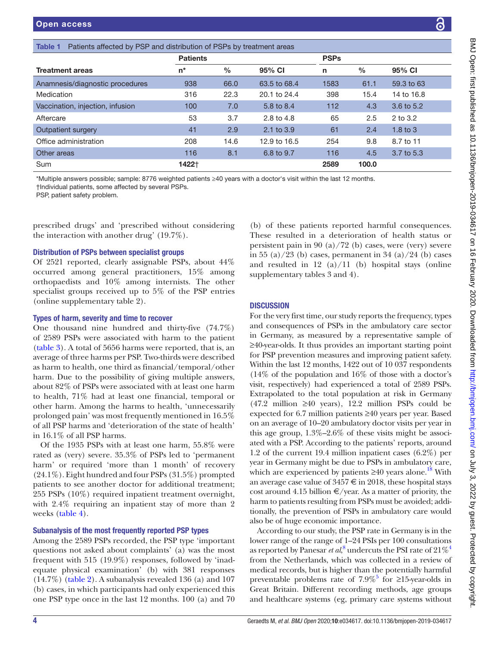<span id="page-3-0"></span>

|                                                                                                                                                                                                               | <b>Patients</b> |               |              | <b>PSPs</b> |       |              |
|---------------------------------------------------------------------------------------------------------------------------------------------------------------------------------------------------------------|-----------------|---------------|--------------|-------------|-------|--------------|
| <b>Treatment areas</b>                                                                                                                                                                                        | $n^*$           | $\frac{0}{0}$ | 95% CI       | n           | $\%$  | 95% CI       |
| Anamnesis/diagnostic procedures                                                                                                                                                                               | 938             | 66.0          | 63.5 to 68.4 | 1583        | 61.1  | 59.3 to 63   |
| Medication                                                                                                                                                                                                    | 316             | 22.3          | 20.1 to 24.4 | 398         | 15.4  | 14 to 16.8   |
| Vaccination, injection, infusion                                                                                                                                                                              | 100             | 7.0           | 5.8 to 8.4   | 112         | 4.3   | 3.6 to 5.2   |
| Aftercare                                                                                                                                                                                                     | 53              | 3.7           | 2.8 to 4.8   | 65          | 2.5   | 2 to 3.2     |
| Outpatient surgery                                                                                                                                                                                            | 41              | 2.9           | 2.1 to 3.9   | 61          | 2.4   | $1.8$ to $3$ |
| Office administration                                                                                                                                                                                         | 208             | 14.6          | 12.9 to 16.5 | 254         | 9.8   | 8.7 to 11    |
| Other areas                                                                                                                                                                                                   | 116             | 8.1           | 6.8 to 9.7   | 116         | 4.5   | 3.7 to 5.3   |
| Sum                                                                                                                                                                                                           | 1422†           |               |              | 2589        | 100.0 |              |
| *Multiple answers possible; sample: 8776 weighted patients ≥40 years with a doctor's visit within the last 12 months.<br>†Individual patients, some affected by several PSPs.<br>PSP, patient safety problem. |                 |               |              |             |       |              |

prescribed drugs' and 'prescribed without considering the interaction with another drug' (19.7%).

### Distribution of PSPs between specialist groups

Of 2521 reported, clearly assignable PSPs, about 44% occurred among general practitioners, 15% among orthopaedists and 10% among internists. The other specialist groups received up to 5% of the PSP entries ([online supplementary table 2](https://dx.doi.org/10.1136/bmjopen-2019-034617)).

### Types of harm, severity and time to recover

One thousand nine hundred and thirty-five (74.7%) of 2589 PSPs were associated with harm to the patient ([table](#page-5-0) 3). A total of 5656 harms were reported, that is, an average of three harms per PSP. Two-thirds were described as harm to health, one third as financial/temporal/other harm. Due to the possibility of giving multiple answers, about 82% of PSPs were associated with at least one harm to health, 71% had at least one financial, temporal or other harm. Among the harms to health, 'unnecessarily prolonged pain' was most frequently mentioned in 16.5% of all PSP harms and 'deterioration of the state of health' in 16.1% of all PSP harms.

Of the 1935 PSPs with at least one harm, 55.8% were rated as (very) severe. 35.3% of PSPs led to 'permanent harm' or required 'more than 1 month' of recovery (24.1%). Eight hundred and four PSPs (31.5%) prompted patients to see another doctor for additional treatment; 255 PSPs (10%) required inpatient treatment overnight, with 2.4% requiring an inpatient stay of more than 2 weeks ([table](#page-6-0) 4).

### Subanalysis of the most frequently reported PSP types

Among the 2589 PSPs recorded, the PSP type 'important questions not asked about complaints' (a) was the most frequent with 515 (19.9%) responses, followed by 'inadequate physical examination' (b) with 381 responses (14.7%) [\(table](#page-4-0) 2). A subanalysis revealed 136 (a) and 107 (b) cases, in which participants had only experienced this one PSP type once in the last 12 months. 100 (a) and 70

(b) of these patients reported harmful consequences. These resulted in a deterioration of health status or persistent pain in 90 (a)/72 (b) cases, were (very) severe in 55 (a)/23 (b) cases, permanent in 34 (a)/24 (b) cases and resulted in 12 (a)/11 (b) hospital stays (online [supplementary tables 3 and 4](https://dx.doi.org/10.1136/bmjopen-2019-034617)).

### **DISCUSSION**

For the very first time, our study reports the frequency, types and consequences of PSPs in the ambulatory care sector in Germany, as measured by a representative sample of ≥40-year-olds. It thus provides an important starting point for PSP prevention measures and improving patient safety. Within the last 12 months, 1422 out of 10 037 respondents (14% of the population and 16% of those with a doctor's visit, respectively) had experienced a total of 2589 PSPs. Extrapolated to the total population at risk in Germany (47.2 million ≥40 years), 12.2 million PSPs could be expected for 6.7 million patients ≥40 years per year. Based on an average of 10–20 ambulatory doctor visits per year in this age group, 1.3%–2.6% of these visits might be associated with a PSP. According to the patients' reports, around 1.2 of the current 19.4 million inpatient cases (6.2%) per year in Germany might be due to PSPs in ambulatory care, which are experienced by patients  $\geq 40$  years alone.<sup>18</sup> With an average case value of  $3457 \text{ } \in$  in 2018, these hospital stays cost around 4.15 billion  $\epsilon$ /year. As a matter of priority, the harm to patients resulting from PSPs must be avoided; additionally, the prevention of PSPs in ambulatory care would also be of huge economic importance.

According to our study, the PSP rate in Germany is in the lower range of the range of 1–24 PSIs per 100 consultations as reported by Panesar *et al*, $^8$  $^8$  undercuts the PSI rate of  $21\%$ <sup>4</sup> from the Netherlands, which was collected in a review of medical records, but is higher than the potentially harmful preventable problems rate of  $7.9\%$ <sup>5</sup> for ≥15-year-olds in Great Britain. Different recording methods, age groups and healthcare systems (eg, primary care systems without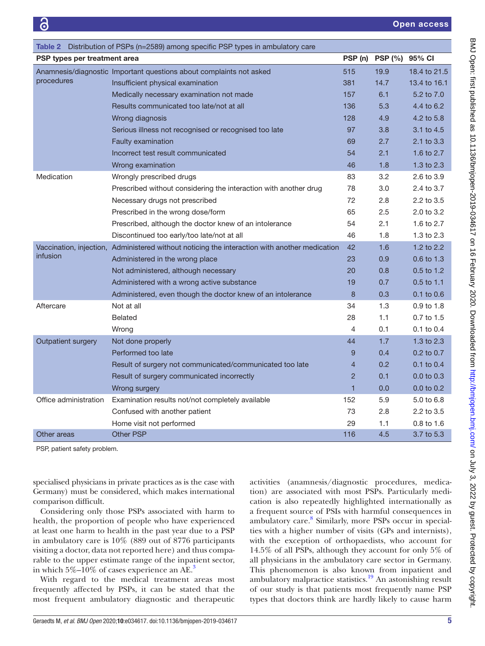<span id="page-4-0"></span>

| Table 2 Distribution of PSPs (n=2589) among specific PSP types in ambulatory care |                                                                                               |                |                |                |
|-----------------------------------------------------------------------------------|-----------------------------------------------------------------------------------------------|----------------|----------------|----------------|
| PSP types per treatment area                                                      |                                                                                               | PSP (n)        | <b>PSP (%)</b> | 95% CI         |
|                                                                                   | Anamnesis/diagnostic Important questions about complaints not asked                           | 515            | 19.9           | 18.4 to 21.5   |
| procedures                                                                        | Insufficient physical examination                                                             | 381            | 14.7           | 13.4 to 16.1   |
|                                                                                   | Medically necessary examination not made                                                      | 157            | 6.1            | 5.2 to 7.0     |
|                                                                                   | Results communicated too late/not at all                                                      | 136            | 5.3            | 4.4 to 6.2     |
|                                                                                   | Wrong diagnosis                                                                               | 128            | 4.9            | 4.2 to 5.8     |
|                                                                                   | Serious illness not recognised or recognised too late                                         | 97             | 3.8            | 3.1 to 4.5     |
|                                                                                   | Faulty examination                                                                            | 69             | 2.7            | 2.1 to 3.3     |
|                                                                                   | Incorrect test result communicated                                                            | 54             | 2.1            | 1.6 to 2.7     |
|                                                                                   | Wrong examination                                                                             | 46             | 1.8            | 1.3 to 2.3     |
| Medication                                                                        | Wrongly prescribed drugs                                                                      | 83             | 3.2            | 2.6 to 3.9     |
|                                                                                   | Prescribed without considering the interaction with another drug                              | 78             | 3.0            | 2.4 to 3.7     |
|                                                                                   | Necessary drugs not prescribed                                                                | 72             | 2.8            | 2.2 to 3.5     |
|                                                                                   | Prescribed in the wrong dose/form                                                             | 65             | 2.5            | 2.0 to 3.2     |
|                                                                                   | Prescribed, although the doctor knew of an intolerance                                        | 54             | 2.1            | 1.6 to 2.7     |
|                                                                                   | Discontinued too early/too late/not at all                                                    | 46             | 1.8            | 1.3 to 2.3     |
|                                                                                   | Vaccination, injection, Administered without noticing the interaction with another medication | 42             | 1.6            | 1.2 to $2.2$   |
| <i>infusion</i>                                                                   | Administered in the wrong place                                                               | 23             | 0.9            | 0.6 to 1.3     |
|                                                                                   | Not administered, although necessary                                                          | 20             | 0.8            | $0.5$ to 1.2   |
|                                                                                   | Administered with a wrong active substance                                                    | 19             | 0.7            | 0.5 to 1.1     |
|                                                                                   | Administered, even though the doctor knew of an intolerance                                   | 8              | 0.3            | $0.1$ to $0.6$ |
| Aftercare                                                                         | Not at all                                                                                    | 34             | 1.3            | 0.9 to 1.8     |
|                                                                                   | <b>Belated</b>                                                                                | 28             | 1.1            | $0.7$ to $1.5$ |
|                                                                                   | Wrong                                                                                         | 4              | 0.1            | 0.1 to 0.4     |
| Outpatient surgery                                                                | Not done properly                                                                             | 44             | 1.7            | 1.3 to $2.3$   |
|                                                                                   | Performed too late                                                                            | 9              | 0.4            | $0.2$ to $0.7$ |
|                                                                                   | Result of surgery not communicated/communicated too late                                      | $\overline{4}$ | 0.2            | $0.1$ to $0.4$ |
|                                                                                   | Result of surgery communicated incorrectly                                                    | $\overline{2}$ | 0.1            | $0.0$ to $0.3$ |
|                                                                                   | Wrong surgery                                                                                 | $\mathbf{1}$   | 0.0            | 0.0 to 0.2     |
| Office administration                                                             | Examination results not/not completely available                                              | 152            | 5.9            | 5.0 to 6.8     |
|                                                                                   | Confused with another patient                                                                 | 73             | 2.8            | 2.2 to 3.5     |
|                                                                                   | Home visit not performed                                                                      | 29             | 1.1            | 0.8 to 1.6     |
| Other areas                                                                       | <b>Other PSP</b>                                                                              | 116            | 4.5            | 3.7 to 5.3     |
|                                                                                   |                                                                                               |                |                |                |

PSP, patient safety problem.

specialised physicians in private practices as is the case with Germany) must be considered, which makes international comparison difficult.

Considering only those PSPs associated with harm to health, the proportion of people who have experienced at least one harm to health in the past year due to a PSP in ambulatory care is 10% (889 out of 8776 participants visiting a doctor, data not reported here) and thus comparable to the upper estimate range of the inpatient sector, in which  $5\%$ –10% of cases experience an AE.<sup>[3](#page-7-2)</sup>

With regard to the medical treatment areas most frequently affected by PSPs, it can be stated that the most frequent ambulatory diagnostic and therapeutic

activities (anamnesis/diagnostic procedures, medication) are associated with most PSPs. Particularly medication is also repeatedly highlighted internationally as a frequent source of PSIs with harmful consequences in ambulatory care.<sup>8</sup> Similarly, more PSPs occur in specialties with a higher number of visits (GPs and internists), with the exception of orthopaedists, who account for 14.5% of all PSPs, although they account for only 5% of all physicians in the ambulatory care sector in Germany. This phenomenon is also known from inpatient and ambulatory malpractice statistics.<sup>19</sup> An astonishing result of our study is that patients most frequently name PSP types that doctors think are hardly likely to cause harm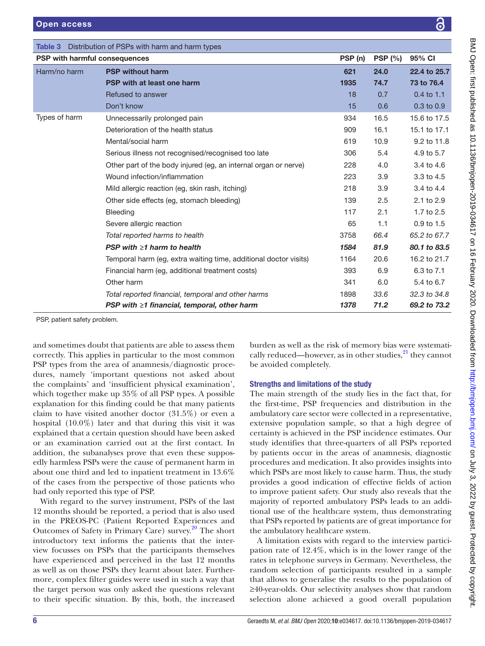<span id="page-5-0"></span>

| Distribution of PSPs with harm and harm types<br>Table 3 |                                                                  |         |        |                |
|----------------------------------------------------------|------------------------------------------------------------------|---------|--------|----------------|
| PSP with harmful consequences                            |                                                                  | PSP (n) | PSP(%) | 95% CI         |
| Harm/no harm                                             | <b>PSP without harm</b>                                          | 621     | 24.0   | 22.4 to 25.7   |
|                                                          | <b>PSP with at least one harm</b>                                | 1935    | 74.7   | 73 to 76.4     |
|                                                          | Refused to answer                                                | 18      | 0.7    | $0.4$ to 1.1   |
|                                                          | Don't know                                                       | 15      | 0.6    | $0.3$ to $0.9$ |
| Types of harm                                            | Unnecessarily prolonged pain                                     | 934     | 16.5   | 15.6 to 17.5   |
|                                                          | Deterioration of the health status                               | 909     | 16.1   | 15.1 to 17.1   |
|                                                          | Mental/social harm                                               | 619     | 10.9   | 9.2 to 11.8    |
|                                                          | Serious illness not recognised/recognised too late               | 306     | 5.4    | 4.9 to 5.7     |
|                                                          | Other part of the body injured (eg. an internal organ or nerve)  | 228     | 4.0    | 3.4 to 4.6     |
|                                                          | Wound infection/inflammation                                     | 223     | 3.9    | 3.3 to 4.5     |
|                                                          | Mild allergic reaction (eg. skin rash, itching)                  | 218     | 3.9    | 3.4 to 4.4     |
|                                                          | Other side effects (eg, stomach bleeding)                        | 139     | 2.5    | 2.1 to 2.9     |
|                                                          | <b>Bleeding</b>                                                  | 117     | 2.1    | 1.7 to 2.5     |
|                                                          | Severe allergic reaction                                         | 65      | 1.1    | $0.9$ to $1.5$ |
|                                                          | Total reported harms to health                                   | 3758    | 66.4   | 65.2 to 67.7   |
|                                                          | PSP with $\geq 1$ harm to health                                 | 1584    | 81.9   | 80.1 to 83.5   |
|                                                          | Temporal harm (eg, extra waiting time, additional doctor visits) | 1164    | 20.6   | 16.2 to 21.7   |
|                                                          | Financial harm (eg, additional treatment costs)                  | 393     | 6.9    | 6.3 to 7.1     |
|                                                          | Other harm                                                       | 341     | 6.0    | 5.4 to 6.7     |
|                                                          | Total reported financial, temporal and other harms               | 1898    | 33.6   | 32.3 to 34.8   |
|                                                          | PSP with $\geq$ 1 financial, temporal, other harm                | 1378    | 71.2   | 69.2 to 73.2   |

PSP, patient safety problem.

and sometimes doubt that patients are able to assess them correctly. This applies in particular to the most common PSP types from the area of anamnesis/diagnostic procedures, namely 'important questions not asked about the complaints' and 'insufficient physical examination', which together make up 35% of all PSP types. A possible explanation for this finding could be that many patients claim to have visited another doctor (31.5%) or even a hospital (10.0%) later and that during this visit it was explained that a certain question should have been asked or an examination carried out at the first contact. In addition, the subanalyses prove that even these supposedly harmless PSPs were the cause of permanent harm in about one third and led to inpatient treatment in 13.6% of the cases from the perspective of those patients who had only reported this type of PSP.

With regard to the survey instrument, PSPs of the last 12 months should be reported, a period that is also used in the PREOS-PC (Patient Reported Experiences and Outcomes of Safety in Primary Care) survey.<sup>[20](#page-8-6)</sup> The short introductory text informs the patients that the interview focusses on PSPs that the participants themselves have experienced and perceived in the last 12 months as well as on those PSPs they learnt about later. Furthermore, complex filter guides were used in such a way that the target person was only asked the questions relevant to their specific situation. By this, both, the increased burden as well as the risk of memory bias were systematically reduced—however, as in other studies, $^{21}$  they cannot be avoided completely.

### Strengths and limitations of the study

The main strength of the study lies in the fact that, for the first-time, PSP frequencies and distribution in the ambulatory care sector were collected in a representative, extensive population sample, so that a high degree of certainty is achieved in the PSP incidence estimates. Our study identifies that three-quarters of all PSPs reported by patients occur in the areas of anamnesis, diagnostic procedures and medication. It also provides insights into which PSPs are most likely to cause harm. Thus, the study provides a good indication of effective fields of action to improve patient safety. Our study also reveals that the majority of reported ambulatory PSPs leads to an additional use of the healthcare system, thus demonstrating that PSPs reported by patients are of great importance for the ambulatory healthcare system.

A limitation exists with regard to the interview participation rate of 12.4%, which is in the lower range of the rates in telephone surveys in Germany. Nevertheless, the random selection of participants resulted in a sample that allows to generalise the results to the population of ≥40-year-olds. Our selectivity analyses show that random selection alone achieved a good overall population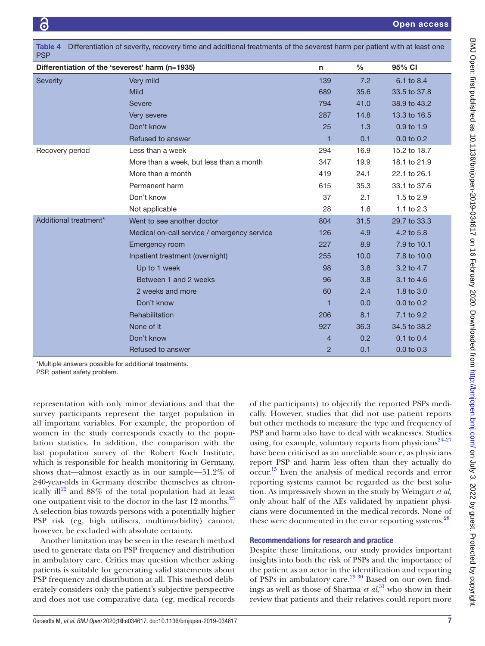<span id="page-6-0"></span>

| Differentiation of severity, recovery time and additional treatments of the severest harm per patient with at least one<br>Table 4<br><b>PSP</b> |                                             |                |               |                |
|--------------------------------------------------------------------------------------------------------------------------------------------------|---------------------------------------------|----------------|---------------|----------------|
| Differentiation of the 'severest' harm (n=1935)                                                                                                  |                                             | $\mathsf{n}$   | $\frac{0}{0}$ | 95% CI         |
| <b>Severity</b>                                                                                                                                  | Very mild                                   | 139            | 7.2           | 6.1 to 8.4     |
|                                                                                                                                                  | <b>Mild</b>                                 | 689            | 35.6          | 33.5 to 37.8   |
|                                                                                                                                                  | <b>Severe</b>                               | 794            | 41.0          | 38.9 to 43.2   |
|                                                                                                                                                  | Very severe                                 | 287            | 14.8          | 13.3 to 16.5   |
|                                                                                                                                                  | Don't know                                  | 25             | 1.3           | 0.9 to 1.9     |
|                                                                                                                                                  | Refused to answer                           | 1              | 0.1           | $0.0$ to $0.2$ |
| Recovery period                                                                                                                                  | Less than a week                            | 294            | 16.9          | 15.2 to 18.7   |
|                                                                                                                                                  | More than a week, but less than a month     | 347            | 19.9          | 18.1 to 21.9   |
|                                                                                                                                                  | More than a month                           | 419            | 24.1          | 22.1 to 26.1   |
|                                                                                                                                                  | Permanent harm                              | 615            | 35.3          | 33.1 to 37.6   |
|                                                                                                                                                  | Don't know                                  | 37             | 2.1           | 1.5 to 2.9     |
|                                                                                                                                                  | Not applicable                              | 28             | 1.6           | 1.1 to 2.3     |
| Additional treatment*                                                                                                                            | Went to see another doctor                  | 804            | 31.5          | 29.7 to 33.3   |
|                                                                                                                                                  | Medical on-call service / emergency service | 126            | 4.9           | 4.2 to 5.8     |
|                                                                                                                                                  | Emergency room                              | 227            | 8.9           | 7.9 to 10.1    |
|                                                                                                                                                  | Inpatient treatment (overnight)             | 255            | 10.0          | 7.8 to 10.0    |
|                                                                                                                                                  | Up to 1 week                                | 98             | 3.8           | 3.2 to 4.7     |
|                                                                                                                                                  | Between 1 and 2 weeks                       | 96             | 3.8           | 3.1 to 4.6     |
|                                                                                                                                                  | 2 weeks and more                            | 60             | 2.4           | 1.8 to 3.0     |
|                                                                                                                                                  | Don't know                                  | 1              | 0.0           | $0.0$ to $0.2$ |
|                                                                                                                                                  | Rehabilitation                              | 206            | 8.1           | 7.1 to 9.2     |
|                                                                                                                                                  | None of it                                  | 927            | 36.3          | 34.5 to 38.2   |
|                                                                                                                                                  | Don't know                                  | $\overline{4}$ | 0.2           | 0.1 to 0.4     |
|                                                                                                                                                  | Refused to answer                           | 2              | 0.1           | $0.0$ to $0.3$ |

\*Multiple answers possible for additional treatments.

PSP, patient safety problem.

representation with only minor deviations and that the survey participants represent the target population in all important variables. For example, the proportion of women in the study corresponds exactly to the population statistics. In addition, the comparison with the last population survey of the Robert Koch Institute, which is responsible for health monitoring in Germany, shows that—almost exactly as in our sample—51.2% of ≥40-year-olds in Germany describe themselves as chronically ill<sup>22</sup> and 88% of the total population had at least one outpatient visit to the doctor in the last 12 months.<sup>23</sup> A selection bias towards persons with a potentially higher PSP risk (eg, high utilisers, multimorbidity) cannot, however, be excluded with absolute certainty.

Another limitation may be seen in the research method used to generate data on PSP frequency and distribution in ambulatory care. Critics may question whether asking patients is suitable for generating valid statements about PSP frequency and distribution at all. This method deliberately considers only the patient's subjective perspective and does not use comparative data (eg, medical records

of the participants) to objectify the reported PSPs medically. However, studies that did not use patient reports but other methods to measure the type and frequency of PSP and harm also have to deal with weaknesses. Studies using, for example, voluntary reports from physicians $24-27$ have been criticised as an unreliable source, as physicians report PSP and harm less often than they actually do occur. [15](#page-8-1) Even the analysis of medical records and error reporting systems cannot be regarded as the best solution. As impressively shown in the study by Weingart *et al,* only about half of the AEs validated by inpatient physicians were documented in the medical records. None of these were documented in the error reporting systems.<sup>28</sup>

### Recommendations for research and practice

Despite these limitations, our study provides important insights into both the risk of PSPs and the importance of the patient as an actor in the identification and reporting of PSPs in ambulatory care.<sup>[29 30](#page-8-12)</sup> Based on our own findings as well as those of Sharma *et al*, [31](#page-8-13) who show in their review that patients and their relatives could report more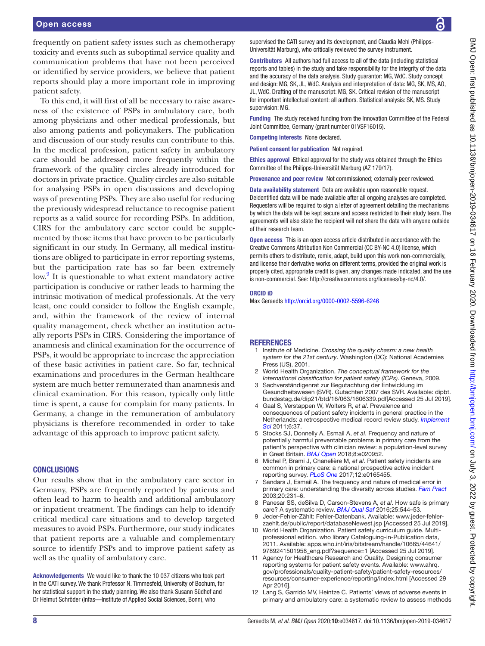frequently on patient safety issues such as chemotherapy toxicity and events such as suboptimal service quality and communication problems that have not been perceived or identified by service providers, we believe that patient reports should play a more important role in improving patient safety.

To this end, it will first of all be necessary to raise awareness of the existence of PSPs in ambulatory care, both among physicians and other medical professionals, but also among patients and policymakers. The publication and discussion of our study results can contribute to this. In the medical profession, patient safety in ambulatory care should be addressed more frequently within the framework of the quality circles already introduced for doctors in private practice. Quality circles are also suitable for analysing PSPs in open discussions and developing ways of preventing PSPs. They are also useful for reducing the previously widespread reluctance to recognise patient reports as a valid source for recording PSPs. In addition, CIRS for the ambulatory care sector could be supplemented by those items that have proven to be particularly significant in our study. In Germany, all medical institutions are obliged to participate in error reporting systems, but the participation rate has so far been extremely low.<sup>[9](#page-7-8)</sup> It is questionable to what extent mandatory active participation is conducive or rather leads to harming the intrinsic motivation of medical professionals. At the very least, one could consider to follow the English example, and, within the framework of the review of internal quality management, check whether an institution actually reports PSPs in CIRS. Considering the importance of anamnesis and clinical examination for the occurrence of PSPs, it would be appropriate to increase the appreciation of these basic activities in patient care. So far, technical examinations and procedures in the German healthcare system are much better remunerated than anamnesis and clinical examination. For this reason, typically only little time is spent, a cause for complain for many patients. In Germany, a change in the remuneration of ambulatory physicians is therefore recommended in order to take advantage of this approach to improve patient safety.

### **CONCLUSIONS**

Our results show that in the ambulatory care sector in Germany, PSPs are frequently reported by patients and often lead to harm to health and additional ambulatory or inpatient treatment. The findings can help to identify critical medical care situations and to develop targeted measures to avoid PSPs. Furthermore, our study indicates that patient reports are a valuable and complementary source to identify PSPs and to improve patient safety as well as the quality of ambulatory care.

Acknowledgements We would like to thank the 10 037 citizens who took part in the CATI survey. We thank Professor N. Timmesfeld, University of Bochum, for her statistical support in the study planning. We also thank Susann Südhof and Dr Helmut Schröder (infas—Institute of Applied Social Sciences, Bonn), who

supervised the CATI survey and its development, and Claudia Mehl (Philipps-Universität Marburg), who critically reviewed the survey instrument.

Contributors All authors had full access to all of the data (including statistical reports and tables) in the study and take responsibility for the integrity of the data and the accuracy of the data analysis. Study guarantor: MG, WdC. Study concept and design: MG, SK, JL, WdC. Analysis and interpretation of data: MG, SK, MS, AO, JL, WdC. Drafting of the manuscript: MG, SK. Critical revision of the manuscript for important intellectual content: all authors. Statistical analysis: SK, MS. Study supervision: MG.

Funding The study received funding from the Innovation Committee of the Federal Joint Committee, Germany (grant number 01VSF16015).

Competing interests None declared.

Patient consent for publication Not required.

Ethics approval Ethical approval for the study was obtained through the Ethics Committee of the Philipps-Universität Marburg (AZ 179/17).

Provenance and peer review Not commissioned; externally peer reviewed.

Data availability statement Data are available upon reasonable request. Deidentified data will be made available after all ongoing analyses are completed. Requesters will be required to sign a letter of agreement detailing the mechanisms by which the data will be kept secure and access restricted to their study team. The agreements will also state the recipient will not share the data with anyone outside of their research team.

Open access This is an open access article distributed in accordance with the Creative Commons Attribution Non Commercial (CC BY-NC 4.0) license, which permits others to distribute, remix, adapt, build upon this work non-commercially, and license their derivative works on different terms, provided the original work is properly cited, appropriate credit is given, any changes made indicated, and the use is non-commercial. See: [http://creativecommons.org/licenses/by-nc/4.0/.](http://creativecommons.org/licenses/by-nc/4.0/)

### ORCID iD

Max Geraedts <http://orcid.org/0000-0002-5596-6246>

### **REFERENCES**

- <span id="page-7-0"></span>1 Institute of Medicine. *Crossing the quality chasm: a new health system for the 21st century*. Washington (DC): National Academies Press (US), 2001.
- <span id="page-7-1"></span>2 World Health Organization. *The conceptual framework for the International classification for patient safety (ICPs)*. Geneva, 2009.
- <span id="page-7-2"></span>3 Sachverständigenrat zur Begutachtung der Entwicklung im Gesundheitswesen (SVR). Gutachten 2007 des SVR. Available: [dipbt.](dipbt.bundestag.de/dip21/btd/16/063/1606339.pdf) [bundestag.de/dip21/btd/16/063/1606339.pdf\[](dipbt.bundestag.de/dip21/btd/16/063/1606339.pdf)Accessed 25 Jul 2019].
- <span id="page-7-3"></span>4 Gaal S, Verstappen W, Wolters R, *et al*. Prevalence and consequences of patient safety incidents in general practice in the Netherlands: a retrospective medical record review study. *[Implement](http://dx.doi.org/10.1186/1748-5908-6-37)  [Sci](http://dx.doi.org/10.1186/1748-5908-6-37)* 2011;6:37.
- <span id="page-7-4"></span>5 Stocks SJ, Donnelly A, Esmail A, *et al*. Frequency and nature of potentially harmful preventable problems in primary care from the patient's perspective with clinician review: a population-level survey in Great Britain. *[BMJ Open](http://dx.doi.org/10.1136/bmjopen-2017-020952)* 2018;8:e020952.
- <span id="page-7-5"></span>6 Michel P, Brami J, Chanelière M, *et al*. Patient safety incidents are common in primary care: a national prospective active incident reporting survey. *[PLoS One](http://dx.doi.org/10.1371/journal.pone.0165455)* 2017;12:e0165455.
- <span id="page-7-6"></span>Sandars J, Esmail A. The frequency and nature of medical error in primary care: understanding the diversity across studies. *[Fam Pract](http://dx.doi.org/10.1093/fampra/cmg301)* 2003;20:231–6.
- <span id="page-7-7"></span>8 Panesar SS, deSilva D, Carson-Stevens A, *et al*. How safe is primary care? A systematic review. *[BMJ Qual Saf](http://dx.doi.org/10.1136/bmjqs-2015-004178)* 2016;25:544–53.
- <span id="page-7-8"></span>9 Jeder-Fehler-Zählt: Fehler-Datenbank. Available: [www.jeder-fehler](www.jeder-fehler-zaehlt.de/public/report/databaseNewest.jsp)[zaehlt.de/public/report/databaseNewest.jsp](www.jeder-fehler-zaehlt.de/public/report/databaseNewest.jsp) [Accessed 25 Jul 2019].
- <span id="page-7-9"></span>10 World Health Organization. Patient safety curriculum guide. Multiprofessional edition. who library Cataloguing-in-Publication data, 2011. Available: [apps.who.int/iris/bitstream/handle/10665/44641/](apps.who.int/iris/bitstream/handle/10665/44641/9789241501958_eng.pdf?sequence=1) [9789241501958\\_eng.pdf?sequence=1](apps.who.int/iris/bitstream/handle/10665/44641/9789241501958_eng.pdf?sequence=1) [Accessed 25 Jul 2019].
- 11 Agency for Healthcare Research and Quality. Designing consumer reporting systems for patient safety events. Available: [www.ahrq.](www.ahrq.gov/professionals/quality-patient-safety/patient-safety-resources/resources/consumer-experience/reporting/index.html) [gov/professionals/quality-patient-safety/patient-safety-resources/](www.ahrq.gov/professionals/quality-patient-safety/patient-safety-resources/resources/consumer-experience/reporting/index.html) [resources/consumer-experience/reporting/index.html](www.ahrq.gov/professionals/quality-patient-safety/patient-safety-resources/resources/consumer-experience/reporting/index.html) [Accessed 29 Apr 2016].
- 12 Lang S, Garrido MV, Heintze C. Patients' views of adverse events in primary and ambulatory care: a systematic review to assess methods